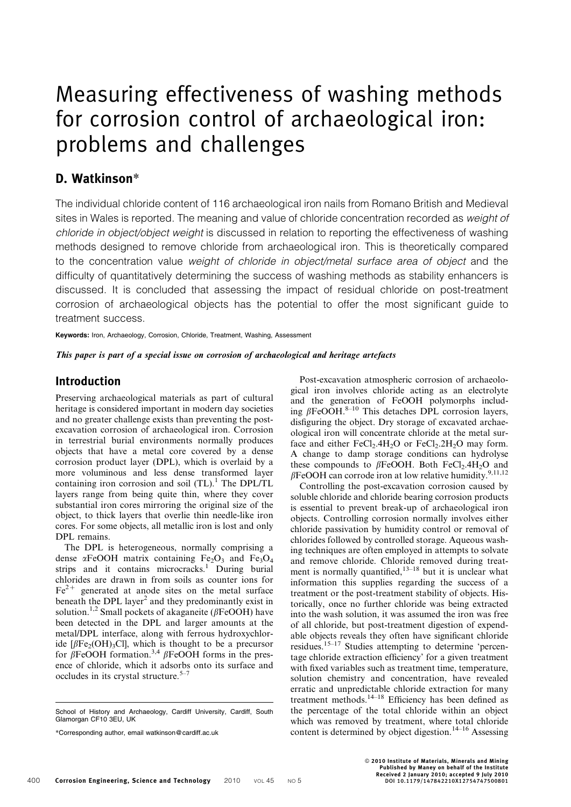# Measuring effectiveness of washing methods for corrosion control of archaeological iron: problems and challenges

## D. Watkinson\*

The individual chloride content of 116 archaeological iron nails from Romano British and Medieval sites in Wales is reported. The meaning and value of chloride concentration recorded as weight of chloride in object/object weight is discussed in relation to reporting the effectiveness of washing methods designed to remove chloride from archaeological iron. This is theoretically compared to the concentration value weight of chloride in object/metal surface area of object and the difficulty of quantitatively determining the success of washing methods as stability enhancers is discussed. It is concluded that assessing the impact of residual chloride on post-treatment corrosion of archaeological objects has the potential to offer the most significant guide to treatment success.

Keywords: Iron, Archaeology, Corrosion, Chloride, Treatment, Washing, Assessment

#### This paper is part of a special issue on corrosion of archaeological and heritage artefacts

## Introduction

Preserving archaeological materials as part of cultural heritage is considered important in modern day societies and no greater challenge exists than preventing the postexcavation corrosion of archaeological iron. Corrosion in terrestrial burial environments normally produces objects that have a metal core covered by a dense corrosion product layer (DPL), which is overlaid by a more voluminous and less dense transformed layer containing iron corrosion and soil  $(TL)$ .<sup>1</sup> The DPL/TL layers range from being quite thin, where they cover substantial iron cores mirroring the original size of the object, to thick layers that overlie thin needle-like iron cores. For some objects, all metallic iron is lost and only DPL remains.

The DPL is heterogeneous, normally comprising a dense  $\alpha$ FeOOH matrix containing Fe<sub>2</sub>O<sub>3</sub> and Fe<sub>3</sub>O<sub>4</sub> strips and it contains microcracks.<sup>1</sup> During burial chlorides are drawn in from soils as counter ions for  $Fe<sup>2+</sup>$  generated at anode sites on the metal surface beneath the DPL layer<sup>2</sup> and they predominantly exist in solution.<sup>1,2</sup> Small pockets of akaganeite ( $\beta$ FeOOH) have been detected in the DPL and larger amounts at the metal/DPL interface, along with ferrous hydroxychloride  $[\beta Fe_2(OH)_3Cl]$ , which is thought to be a precursor for  $\beta$ FeOOH formation.<sup>3,4</sup>  $\beta$ FeOOH forms in the presence of chloride, which it adsorbs onto its surface and occludes in its crystal structure. $5-7$ 

Post-excavation atmospheric corrosion of archaeological iron involves chloride acting as an electrolyte and the generation of FeOOH polymorphs including  $\beta$ FeOOH.<sup>8–10</sup> This detaches DPL corrosion layers, disfiguring the object. Dry storage of excavated archaeological iron will concentrate chloride at the metal surface and either  $FeCl<sub>2</sub>$ .4H<sub>2</sub>O or  $FeCl<sub>2</sub>$ .2H<sub>2</sub>O may form. A change to damp storage conditions can hydrolyse these compounds to  $\beta$ FeOOH. Both FeCl<sub>2</sub>.4H<sub>2</sub>O and  $\beta$ FeOOH can corrode iron at low relative humidity.<sup>9,11,12</sup>

Controlling the post-excavation corrosion caused by soluble chloride and chloride bearing corrosion products is essential to prevent break-up of archaeological iron objects. Controlling corrosion normally involves either chloride passivation by humidity control or removal of chlorides followed by controlled storage. Aqueous washing techniques are often employed in attempts to solvate and remove chloride. Chloride removed during treatment is normally quantified,  $13-18$  but it is unclear what information this supplies regarding the success of a treatment or the post-treatment stability of objects. Historically, once no further chloride was being extracted into the wash solution, it was assumed the iron was free of all chloride, but post-treatment digestion of expendable objects reveals they often have significant chloride residues.15–17 Studies attempting to determine 'percentage chloride extraction efficiency' for a given treatment with fixed variables such as treatment time, temperature, solution chemistry and concentration, have revealed erratic and unpredictable chloride extraction for many treatment methods.14–18 Efficiency has been defined as the percentage of the total chloride within an object which was removed by treatment, where total chloride content is determined by object digestion.<sup>14–16</sup> Assessing

School of History and Archaeology, Cardiff University, Cardiff, South Glamorgan CF10 3EU, UK

<sup>\*</sup>Corresponding author, email watkinson@cardiff.ac.uk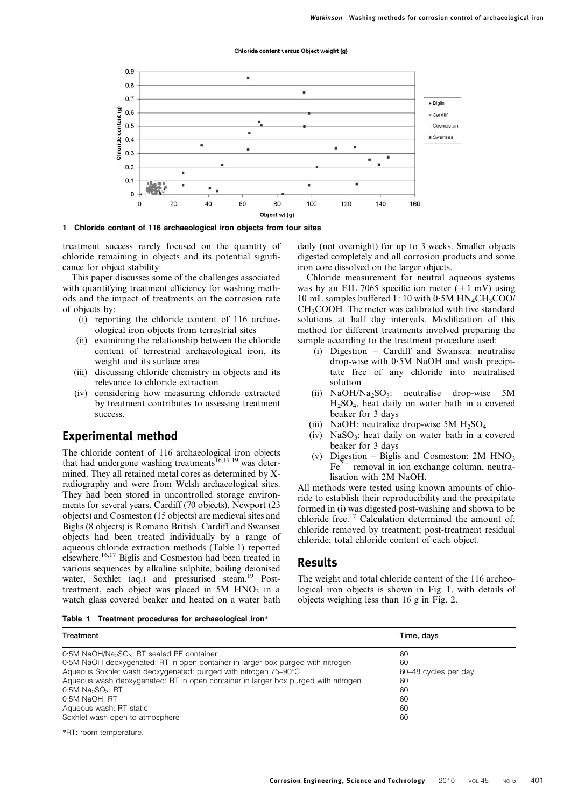Chloride content versus Object weight (g)



1 Chloride content of 116 archaeological iron objects from four sites

treatment success rarely focused on the quantity of chloride remaining in objects and its potential significance for object stability.

This paper discusses some of the challenges associated with quantifying treatment efficiency for washing methods and the impact of treatments on the corrosion rate of objects by:

- (i) reporting the chloride content of 116 archaeological iron objects from terrestrial sites
- (ii) examining the relationship between the chloride content of terrestrial archaeological iron, its weight and its surface area
- (iii) discussing chloride chemistry in objects and its relevance to chloride extraction
- (iv) considering how measuring chloride extracted by treatment contributes to assessing treatment success.

## Experimental method

The chloride content of 116 archaeological iron objects that had undergone washing treatments<sup>16,17,19</sup> was determined. They all retained metal cores as determined by Xradiography and were from Welsh archaeological sites. They had been stored in uncontrolled storage environments for several years. Cardiff (70 objects), Newport (23 objects) and Cosmeston (15 objects) are medieval sites and Biglis (8 objects) is Romano British. Cardiff and Swansea objects had been treated individually by a range of aqueous chloride extraction methods (Table 1) reported elsewhere.16,17 Biglis and Cosmeston had been treated in various sequences by alkaline sulphite, boiling deionised water, Soxhlet (aq.) and pressurised steam.<sup>19</sup> Posttreatment, each object was placed in  $5M HNO<sub>3</sub>$  in a watch glass covered beaker and heated on a water bath

Table 1 Treatment procedures for archaeological iron\*

daily (not overnight) for up to 3 weeks. Smaller objects digested completely and all corrosion products and some iron core dissolved on the larger objects.

Chloride measurement for neutral aqueous systems was by an EIL 7065 specific ion meter  $(\pm 1 \text{ mV})$  using 10 mL samples buffered  $1:10$  with  $0.5M$   $HN<sub>4</sub>CH<sub>3</sub>COO/$ CH3COOH. The meter was calibrated with five standard solutions at half day intervals. Modification of this method for different treatments involved preparing the sample according to the treatment procedure used:

- (i) Digestion Cardiff and Swansea: neutralise drop-wise with 0?5M NaOH and wash precipitate free of any chloride into neutralised solution
- (ii)  $NaOH/Na<sub>2</sub>SO<sub>3</sub>$ : neutralise drop-wise 5M H2SO4, heat daily on water bath in a covered beaker for 3 days
- (iii) NaOH: neutralise drop-wise 5M  $H_2SO_4$
- (iv)  $NaSO<sub>3</sub>$ : heat daily on water bath in a covered beaker for 3 days
- (v) Digestion Biglis and Cosmeston:  $2M HNO<sub>3</sub>$  $Fe<sup>2+</sup>$  removal in ion exchange column, neutralisation with 2M NaOH.

All methods were tested using known amounts of chloride to establish their reproducibility and the precipitate formed in (i) was digested post-washing and shown to be chloride free.<sup>17</sup> Calculation determined the amount of; chloride removed by treatment; post-treatment residual chloride; total chloride content of each object.

## Results

The weight and total chloride content of the 116 archeological iron objects is shown in Fig. 1, with details of objects weighing less than 16 g in Fig. 2.

| Treatment                                                                          | Time, days           |
|------------------------------------------------------------------------------------|----------------------|
| 0.5M NaOH/Na <sub>2</sub> SO <sub>3</sub> : RT sealed PE container                 | 60                   |
| 0.5M NaOH deoxygenated: RT in open container in larger box purged with nitrogen    | 60                   |
| Aqueous Soxhlet wash deoxygenated: purged with nitrogen 75–90°C                    | 60–48 cycles per day |
| Aqueous wash deoxygenated: RT in open container in larger box purged with nitrogen | 60                   |
| $0.5M$ Na <sub>2</sub> SO <sub>3</sub> : RT                                        | 60                   |
| 0.5M NaOH: RT                                                                      | 60                   |
| Aqueous wash: RT static                                                            | 60                   |
| Soxhlet wash open to atmosphere                                                    | 60                   |

\*RT: room temperature.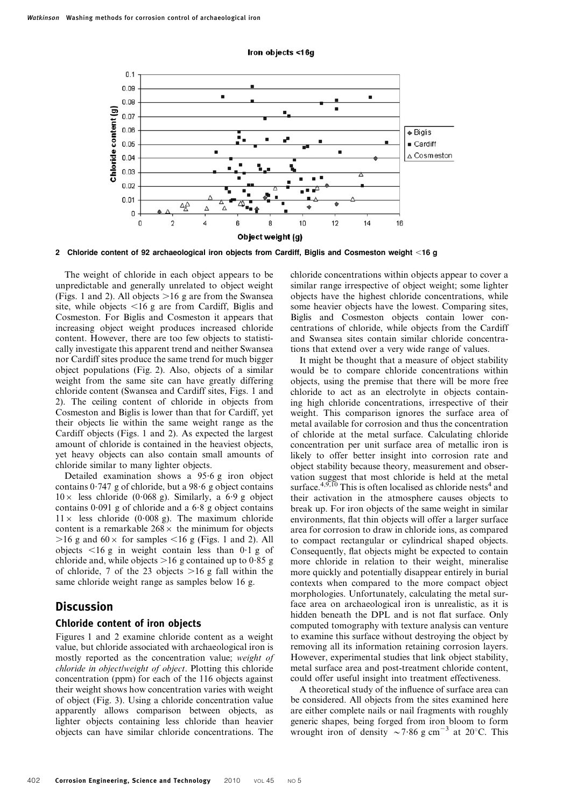

Iron objects <16g

2 Chloride content of 92 archaeological iron objects from Cardiff, Biglis and Cosmeston weight <16 g

The weight of chloride in each object appears to be unpredictable and generally unrelated to object weight (Figs. 1 and 2). All objects  $>16$  g are from the Swansea site, while objects  $\leq 16$  g are from Cardiff, Biglis and Cosmeston. For Biglis and Cosmeston it appears that increasing object weight produces increased chloride content. However, there are too few objects to statistically investigate this apparent trend and neither Swansea nor Cardiff sites produce the same trend for much bigger object populations (Fig. 2). Also, objects of a similar weight from the same site can have greatly differing chloride content (Swansea and Cardiff sites, Figs. 1 and 2). The ceiling content of chloride in objects from Cosmeston and Biglis is lower than that for Cardiff, yet their objects lie within the same weight range as the Cardiff objects (Figs. 1 and 2). As expected the largest amount of chloride is contained in the heaviest objects, yet heavy objects can also contain small amounts of chloride similar to many lighter objects.

Detailed examination shows a 95?6 g iron object contains  $0.747$  g of chloride, but a 98.6 g object contains  $10 \times$  less chloride (0.068 g). Similarly, a 6.9 g object contains  $0.091$  g of chloride and a  $6.8$  g object contains  $11 \times$  less chloride (0.008 g). The maximum chloride content is a remarkable  $268 \times$  the minimum for objects  $>16$  g and 60  $\times$  for samples <16 g (Figs. 1 and 2). All objects  $\leq 16$  g in weight contain less than 0.1 g of chloride and, while objects  $>16$  g contained up to 0.85 g of chloride, 7 of the 23 objects  $>16$  g fall within the same chloride weight range as samples below 16 g.

## **Discussion**

#### Chloride content of iron objects

Figures 1 and 2 examine chloride content as a weight value, but chloride associated with archaeological iron is mostly reported as the concentration value; weight of chloride in object/weight of object. Plotting this chloride concentration (ppm) for each of the 116 objects against their weight shows how concentration varies with weight of object (Fig. 3). Using a chloride concentration value apparently allows comparison between objects, as lighter objects containing less chloride than heavier objects can have similar chloride concentrations. The

chloride concentrations within objects appear to cover a similar range irrespective of object weight; some lighter objects have the highest chloride concentrations, while some heavier objects have the lowest. Comparing sites, Biglis and Cosmeston objects contain lower concentrations of chloride, while objects from the Cardiff and Swansea sites contain similar chloride concentrations that extend over a very wide range of values.

It might be thought that a measure of object stability would be to compare chloride concentrations within objects, using the premise that there will be more free chloride to act as an electrolyte in objects containing high chloride concentrations, irrespective of their weight. This comparison ignores the surface area of metal available for corrosion and thus the concentration of chloride at the metal surface. Calculating chloride concentration per unit surface area of metallic iron is likely to offer better insight into corrosion rate and object stability because theory, measurement and observation suggest that most chloride is held at the metal surface.<sup>4,9,10</sup> This is often localised as chloride nests<sup>4</sup> and their activation in the atmosphere causes objects to break up. For iron objects of the same weight in similar environments, flat thin objects will offer a larger surface area for corrosion to draw in chloride ions, as compared to compact rectangular or cylindrical shaped objects. Consequently, flat objects might be expected to contain more chloride in relation to their weight, mineralise more quickly and potentially disappear entirely in burial contexts when compared to the more compact object morphologies. Unfortunately, calculating the metal surface area on archaeological iron is unrealistic, as it is hidden beneath the DPL and is not flat surface. Only computed tomography with texture analysis can venture to examine this surface without destroying the object by removing all its information retaining corrosion layers. However, experimental studies that link object stability, metal surface area and post-treatment chloride content, could offer useful insight into treatment effectiveness.

A theoretical study of the influence of surface area can be considered. All objects from the sites examined here are either complete nails or nail fragments with roughly generic shapes, being forged from iron bloom to form wrought iron of density  $\sim$  7.86 g cm<sup>-3</sup> at 20°C. This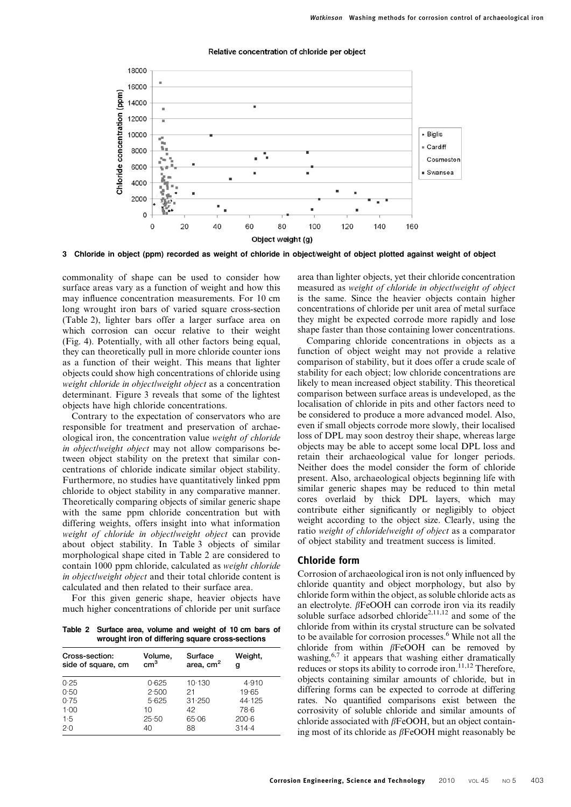



3 Chloride in object (ppm) recorded as weight of chloride in object/weight of object plotted against weight of object

commonality of shape can be used to consider how surface areas vary as a function of weight and how this may influence concentration measurements. For 10 cm long wrought iron bars of varied square cross-section (Table 2), lighter bars offer a larger surface area on which corrosion can occur relative to their weight (Fig. 4). Potentially, with all other factors being equal, they can theoretically pull in more chloride counter ions as a function of their weight. This means that lighter objects could show high concentrations of chloride using weight chloride in object/weight object as a concentration determinant. Figure 3 reveals that some of the lightest objects have high chloride concentrations.

Contrary to the expectation of conservators who are responsible for treatment and preservation of archaeological iron, the concentration value weight of chloride in *object/weight object* may not allow comparisons between object stability on the pretext that similar concentrations of chloride indicate similar object stability. Furthermore, no studies have quantitatively linked ppm chloride to object stability in any comparative manner. Theoretically comparing objects of similar generic shape with the same ppm chloride concentration but with differing weights, offers insight into what information weight of chloride in object/weight object can provide about object stability. In Table 3 objects of similar morphological shape cited in Table 2 are considered to contain 1000 ppm chloride, calculated as weight chloride in object/weight object and their total chloride content is calculated and then related to their surface area.

For this given generic shape, heavier objects have much higher concentrations of chloride per unit surface

Table 2 Surface area, volume and weight of 10 cm bars of wrought iron of differing square cross-sections

| Cross-section:<br>side of square, cm | Volume,<br>cm <sup>3</sup> | Surface<br>area, cm <sup>2</sup> | Weight,<br>g |  |
|--------------------------------------|----------------------------|----------------------------------|--------------|--|
| 0.25                                 | 0.625                      | 10.130                           | 4.910        |  |
| 0.50                                 | 2.500                      | 21                               | 19.65        |  |
| 0.75                                 | 5.625                      | 31.250                           | 44.125       |  |
| 1.00                                 | 10                         | 42                               | 78.6         |  |
| 1.5                                  | 25.50                      | 65.06                            | 200.6        |  |
| 2.0                                  | 40                         | 88                               | 314.4        |  |

area than lighter objects, yet their chloride concentration measured as weight of chloride in objectlweight of object is the same. Since the heavier objects contain higher concentrations of chloride per unit area of metal surface they might be expected corrode more rapidly and lose shape faster than those containing lower concentrations.

Comparing chloride concentrations in objects as a function of object weight may not provide a relative comparison of stability, but it does offer a crude scale of stability for each object; low chloride concentrations are likely to mean increased object stability. This theoretical comparison between surface areas is undeveloped, as the localisation of chloride in pits and other factors need to be considered to produce a more advanced model. Also, even if small objects corrode more slowly, their localised loss of DPL may soon destroy their shape, whereas large objects may be able to accept some local DPL loss and retain their archaeological value for longer periods. Neither does the model consider the form of chloride present. Also, archaeological objects beginning life with similar generic shapes may be reduced to thin metal cores overlaid by thick DPL layers, which may contribute either significantly or negligibly to object weight according to the object size. Clearly, using the ratio weight of chloride/weight of object as a comparator of object stability and treatment success is limited.

#### Chloride form

Corrosion of archaeological iron is not only influenced by chloride quantity and object morphology, but also by chloride form within the object, as soluble chloride acts as an electrolyte.  $\beta$ FeOOH can corrode iron via its readily soluble surface adsorbed chloride<sup>2,11,12</sup> and some of the chloride from within its crystal structure can be solvated to be available for corrosion processes.<sup>6</sup> While not all the chloride from within  $\beta$ FeOOH can be removed by washing,<sup>6,7</sup> it appears that washing either dramatically reduces or stops its ability to corrode iron.<sup>11,12</sup> Therefore, objects containing similar amounts of chloride, but in differing forms can be expected to corrode at differing rates. No quantified comparisons exist between the corrosivity of soluble chloride and similar amounts of chloride associated with  $\beta$ FeOOH, but an object containing most of its chloride as  $\beta$ FeOOH might reasonably be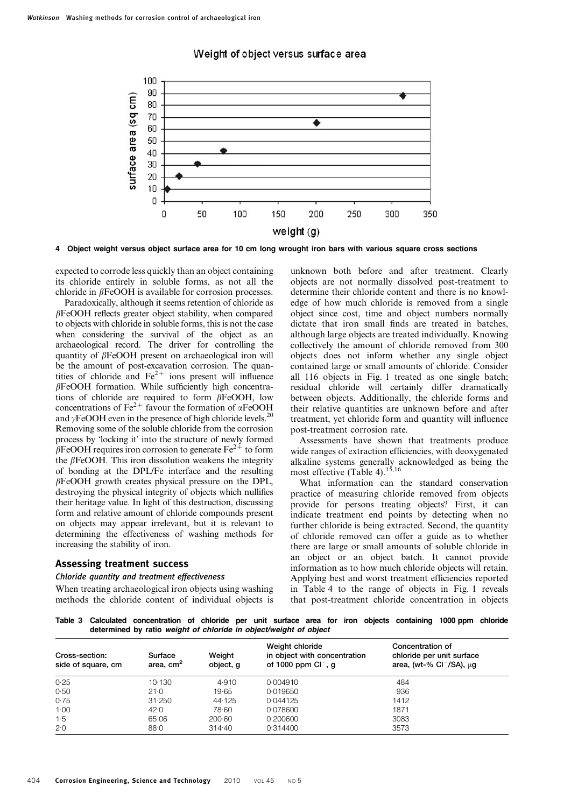

Weight of object versus surface area

4 Object weight versus object surface area for 10 cm long wrought iron bars with various square cross sections

expected to corrode less quickly than an object containing its chloride entirely in soluble forms, as not all the chloride in  $\beta$ FeOOH is available for corrosion processes.

Paradoxically, although it seems retention of chloride as  $\beta$ FeOOH reflects greater object stability, when compared to objects with chloride in soluble forms, this is not the case when considering the survival of the object as an archaeological record. The driver for controlling the quantity of  $\beta$ FeOOH present on archaeological iron will be the amount of post-excavation corrosion. The quantities of chloride and  $Fe^{2+}$  ions present will influence  $\beta$ FeOOH formation. While sufficiently high concentrations of chloride are required to form  $\beta$ FeOOH, low concentrations of Fe<sup>2+</sup> favour the formation of  $\alpha$ FeOOH and  $\gamma$ FeOOH even in the presence of high chloride levels.<sup>20</sup> Removing some of the soluble chloride from the corrosion process by 'locking it' into the structure of newly formed  $\beta$ FeOOH requires iron corrosion to generate Fe<sup>2+</sup> to form the  $\beta$ FeOOH. This iron dissolution weakens the integrity of bonding at the DPL/Fe interface and the resulting  $\beta$ FeOOH growth creates physical pressure on the DPL, destroying the physical integrity of objects which nullifies their heritage value. In light of this destruction, discussing form and relative amount of chloride compounds present on objects may appear irrelevant, but it is relevant to determining the effectiveness of washing methods for increasing the stability of iron.

#### Assessing treatment success

#### Chloride quantity and treatment effectiveness

When treating archaeological iron objects using washing methods the chloride content of individual objects is

unknown both before and after treatment. Clearly objects are not normally dissolved post-treatment to determine their chloride content and there is no knowledge of how much chloride is removed from a single object since cost, time and object numbers normally dictate that iron small finds are treated in batches, although large objects are treated individually. Knowing collectively the amount of chloride removed from 300 objects does not inform whether any single object contained large or small amounts of chloride. Consider all 116 objects in Fig. 1 treated as one single batch; residual chloride will certainly differ dramatically between objects. Additionally, the chloride forms and their relative quantities are unknown before and after treatment, yet chloride form and quantity will influence post-treatment corrosion rate.

Assessments have shown that treatments produce wide ranges of extraction efficiencies, with deoxygenated alkaline systems generally acknowledged as being the most effective (Table 4).<sup>15,16</sup>

What information can the standard conservation practice of measuring chloride removed from objects provide for persons treating objects? First, it can indicate treatment end points by detecting when no further chloride is being extracted. Second, the quantity of chloride removed can offer a guide as to whether there are large or small amounts of soluble chloride in an object or an object batch. It cannot provide information as to how much chloride objects will retain. Applying best and worst treatment efficiencies reported in Table 4 to the range of objects in Fig. 1 reveals that post-treatment chloride concentration in objects

Table 3 Calculated concentration of chloride per unit surface area for iron objects containing 1000 ppm chloride determined by ratio weight of chloride in object/weight of object

| Cross-section:<br>side of square, cm | Surface<br>area, cm <sup>2</sup> | Weight<br>object, q | Weight chloride<br>in object with concentration<br>of 1000 ppm $Cl^-$ , q | Concentration of<br>chloride per unit surface<br>area, (wt-% $CI^-/SA$ ), $\mu q$ |  |
|--------------------------------------|----------------------------------|---------------------|---------------------------------------------------------------------------|-----------------------------------------------------------------------------------|--|
| 0.25                                 | 10.130                           | 4.910               | 0.004910                                                                  | 484                                                                               |  |
| 0.50                                 | 21.0                             | 19.65               | 0.019650                                                                  | 936                                                                               |  |
| 0.75                                 | 31.250                           | 44.125              | 0.044125                                                                  | 1412                                                                              |  |
| 1.00                                 | 42.0                             | 78.60               | 0.078600                                                                  | 1871                                                                              |  |
| 1.5                                  | 65.06                            | 200.60              | 0.200600                                                                  | 3083                                                                              |  |
| 2.0                                  | 88.0                             | 314.40              | 0.314400                                                                  | 3573                                                                              |  |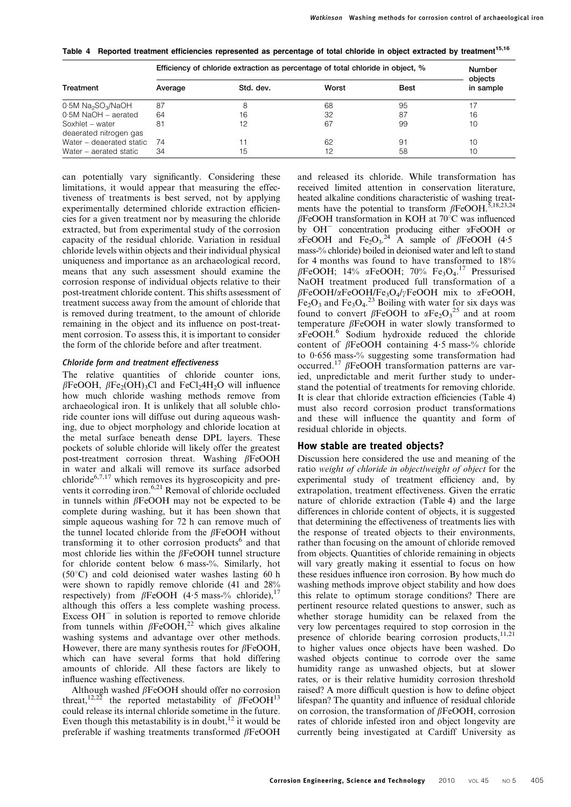| Treatment                                  | Efficiency of chloride extraction as percentage of total chloride in object, % |           |       |             | Number<br>objects |
|--------------------------------------------|--------------------------------------------------------------------------------|-----------|-------|-------------|-------------------|
|                                            | Average                                                                        | Std. dev. | Worst | <b>Best</b> | in sample         |
| 0.5M Na <sub>2</sub> SO <sub>3</sub> /NaOH | 87                                                                             |           | 68    | 95          | 17                |
| 0.5M NaOH - aerated                        | 64                                                                             | 16        | 32    | 87          | 16                |
| Soxhlet - water<br>deaerated nitrogen gas  | 81                                                                             | 12        | 67    | 99          | 10                |
| Water - deaerated static                   | -74                                                                            |           | 62    | 91          | 10                |
| Water – aerated static                     | 34                                                                             | 15        | 12    | 58          | 10                |

Table 4 Reported treatment efficiencies represented as percentage of total chloride in object extracted by treatment<sup>15,16</sup>

can potentially vary significantly. Considering these limitations, it would appear that measuring the effectiveness of treatments is best served, not by applying experimentally determined chloride extraction efficiencies for a given treatment nor by measuring the chloride extracted, but from experimental study of the corrosion capacity of the residual chloride. Variation in residual chloride levels within objects and their individual physical uniqueness and importance as an archaeological record, means that any such assessment should examine the corrosion response of individual objects relative to their post-treatment chloride content. This shifts assessment of treatment success away from the amount of chloride that is removed during treatment, to the amount of chloride remaining in the object and its influence on post-treatment corrosion. To assess this, it is important to consider the form of the chloride before and after treatment.

#### Chloride form and treatment effectiveness

The relative quantities of chloride counter ions,  $\beta$ FeOOH,  $\beta$ Fe<sub>2</sub>(OH)<sub>3</sub>Cl and FeCl<sub>2</sub>4H<sub>2</sub>O will influence how much chloride washing methods remove from archaeological iron. It is unlikely that all soluble chloride counter ions will diffuse out during aqueous washing, due to object morphology and chloride location at the metal surface beneath dense DPL layers. These pockets of soluble chloride will likely offer the greatest post-treatment corrosion threat. Washing  $\beta$ FeOOH in water and alkali will remove its surface adsorbed chloride<sup>6,7,17</sup> which removes its hygroscopicity and prevents it corroding iron.<sup>6,21</sup> Removal of chloride occluded in tunnels within  $\beta$ FeOOH may not be expected to be complete during washing, but it has been shown that simple aqueous washing for 72 h can remove much of the tunnel located chloride from the  $\beta$ FeOOH without transforming it to other corrosion products $6$  and that most chloride lies within the  $\beta$ FeOOH tunnel structure for chloride content below 6 mass-%. Similarly, hot  $(50^{\circ}C)$  and cold deionised water washes lasting 60 h were shown to rapidly remove chloride (41 and 28% respectively) from  $\beta$ FeOOH (4.5 mass-% chloride),<sup>17</sup> although this offers a less complete washing process. Excess  $OH^-$  in solution is reported to remove chloride from tunnels within  $\beta$ FeOOH,<sup>22</sup> which gives alkaline washing systems and advantage over other methods. However, there are many synthesis routes for  $\beta$ FeOOH, which can have several forms that hold differing amounts of chloride. All these factors are likely to influence washing effectiveness.

Although washed  $\beta$ FeOOH should offer no corrosion threat,<sup>12,22</sup> the reported metastability of  $\beta$ FeOOH<sup>13</sup> could release its internal chloride sometime in the future. Even though this metastability is in doubt,  $12$  it would be preferable if washing treatments transformed  $\beta$ FeOOH and released its chloride. While transformation has received limited attention in conservation literature, heated alkaline conditions characteristic of washing treatments have the potential to transform  $\beta$ FeOOH.<sup>5,18,23,24</sup>  $\beta$ FeOOH transformation in KOH at 70°C was influenced by  $OH^-$  concentration producing either  $\alpha$ FeOOH or  $\alpha$ FeOOH and Fe<sub>2</sub>O<sub>3</sub>.<sup>24</sup> A sample of  $\beta$ FeOOH (4.5 mass-% chloride) boiled in deionised water and left to stand for 4 months was found to have transformed to 18%  $\beta$ FeOOH; 14%  $\alpha$ FeOOH; 70% Fe<sub>3</sub>O<sub>4</sub>.<sup>17</sup> Pressurised NaOH treatment produced full transformation of a  $\beta$ FeOOH/ $\alpha$ FeOOH/Fe<sub>3</sub>O<sub>4</sub>/ $\gamma$ FeOOH mix to  $\alpha$ FeOOH,  $Fe<sub>2</sub>O<sub>3</sub>$  and  $Fe<sub>3</sub>O<sub>4</sub><sup>23</sup>$  Boiling with water for six days was found to convert  $\beta$ FeOOH to  $\alpha$ Fe<sub>2</sub>O<sub>3</sub><sup>25</sup> and at room temperature  $\beta$ FeOOH in water slowly transformed to aFeOOH.6 Sodium hydroxide reduced the chloride content of  $\beta$ FeOOH containing 4.5 mass-% chloride to  $0.656$  mass-% suggesting some transformation had occurred.<sup>17</sup>  $\beta$ FeOOH transformation patterns are varied, unpredictable and merit further study to understand the potential of treatments for removing chloride. It is clear that chloride extraction efficiencies (Table 4) must also record corrosion product transformations and these will influence the quantity and form of residual chloride in objects.

#### How stable are treated objects?

Discussion here considered the use and meaning of the ratio weight of chloride in object/weight of object for the experimental study of treatment efficiency and, by extrapolation, treatment effectiveness. Given the erratic nature of chloride extraction (Table 4) and the large differences in chloride content of objects, it is suggested that determining the effectiveness of treatments lies with the response of treated objects to their environments, rather than focusing on the amount of chloride removed from objects. Quantities of chloride remaining in objects will vary greatly making it essential to focus on how these residues influence iron corrosion. By how much do washing methods improve object stability and how does this relate to optimum storage conditions? There are pertinent resource related questions to answer, such as whether storage humidity can be relaxed from the very low percentages required to stop corrosion in the presence of chloride bearing corrosion products, $11,21$ to higher values once objects have been washed. Do washed objects continue to corrode over the same humidity range as unwashed objects, but at slower rates, or is their relative humidity corrosion threshold raised? A more difficult question is how to define object lifespan? The quantity and influence of residual chloride on corrosion, the transformation of  $\beta$ FeOOH, corrosion rates of chloride infested iron and object longevity are currently being investigated at Cardiff University as